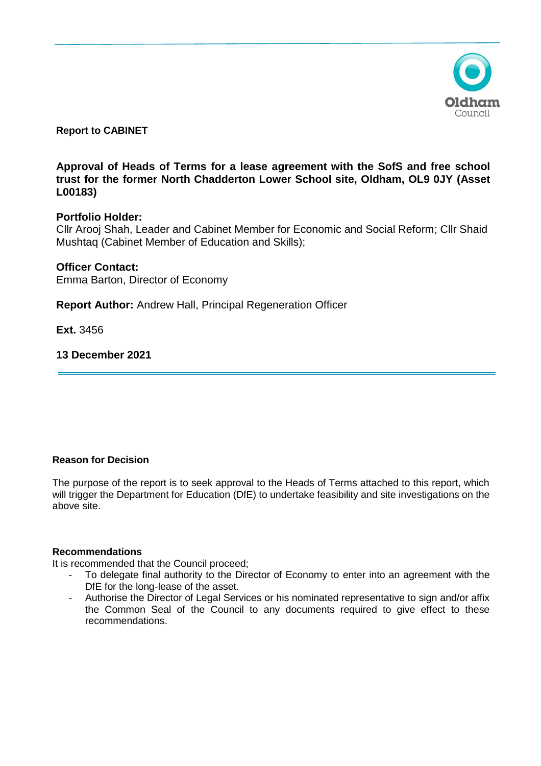

**Report to CABINET** 

**Approval of Heads of Terms for a lease agreement with the SofS and free school trust for the former North Chadderton Lower School site, Oldham, OL9 0JY (Asset L00183)**

# **Portfolio Holder:**

Cllr Arooj Shah, Leader and Cabinet Member for Economic and Social Reform; Cllr Shaid Mushtaq (Cabinet Member of Education and Skills);

# **Officer Contact:**

Emma Barton, Director of Economy

**Report Author:** Andrew Hall, Principal Regeneration Officer

**Ext.** 3456

# **13 December 2021**

### **Reason for Decision**

The purpose of the report is to seek approval to the Heads of Terms attached to this report, which will trigger the Department for Education (DfE) to undertake feasibility and site investigations on the above site.

### **Recommendations**

It is recommended that the Council proceed;

- To delegate final authority to the Director of Economy to enter into an agreement with the DfE for the long-lease of the asset.
- Authorise the Director of Legal Services or his nominated representative to sign and/or affix the Common Seal of the Council to any documents required to give effect to these recommendations.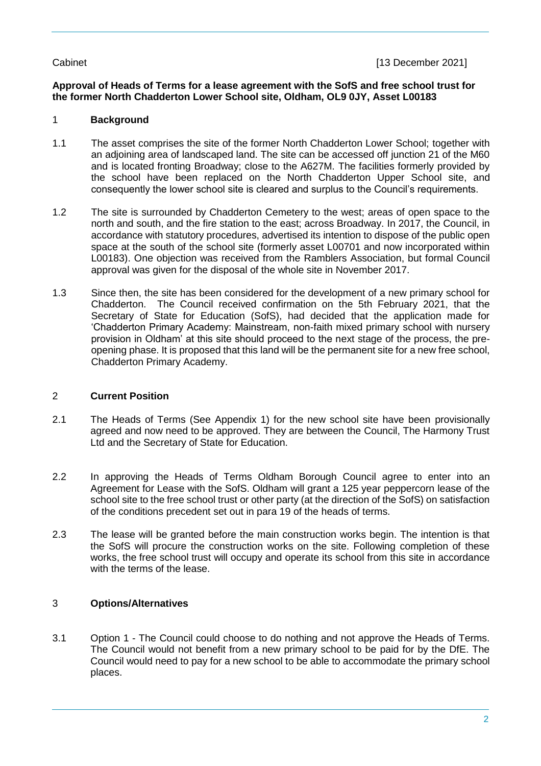# **Approval of Heads of Terms for a lease agreement with the SofS and free school trust for the former North Chadderton Lower School site, Oldham, OL9 0JY, Asset L00183**

# 1 **Background**

- 1.1 The asset comprises the site of the former North Chadderton Lower School; together with an adjoining area of landscaped land. The site can be accessed off junction 21 of the M60 and is located fronting Broadway; close to the A627M. The facilities formerly provided by the school have been replaced on the North Chadderton Upper School site, and consequently the lower school site is cleared and surplus to the Council's requirements.
- 1.2 The site is surrounded by Chadderton Cemetery to the west; areas of open space to the north and south, and the fire station to the east; across Broadway. In 2017, the Council, in accordance with statutory procedures, advertised its intention to dispose of the public open space at the south of the school site (formerly asset L00701 and now incorporated within L00183). One objection was received from the Ramblers Association, but formal Council approval was given for the disposal of the whole site in November 2017.
- 1.3 Since then, the site has been considered for the development of a new primary school for Chadderton. The Council received confirmation on the 5th February 2021, that the Secretary of State for Education (SofS), had decided that the application made for 'Chadderton Primary Academy: Mainstream, non-faith mixed primary school with nursery provision in Oldham' at this site should proceed to the next stage of the process, the preopening phase. It is proposed that this land will be the permanent site for a new free school, Chadderton Primary Academy.

### 2 **Current Position**

- 2.1 The Heads of Terms (See Appendix 1) for the new school site have been provisionally agreed and now need to be approved. They are between the Council, The Harmony Trust Ltd and the Secretary of State for Education.
- 2.2 In approving the Heads of Terms Oldham Borough Council agree to enter into an Agreement for Lease with the SofS. Oldham will grant a 125 year peppercorn lease of the school site to the free school trust or other party (at the direction of the SofS) on satisfaction of the conditions precedent set out in para 19 of the heads of terms.
- 2.3 The lease will be granted before the main construction works begin. The intention is that the SofS will procure the construction works on the site. Following completion of these works, the free school trust will occupy and operate its school from this site in accordance with the terms of the lease.

# 3 **Options/Alternatives**

3.1 Option 1 - The Council could choose to do nothing and not approve the Heads of Terms. The Council would not benefit from a new primary school to be paid for by the DfE. The Council would need to pay for a new school to be able to accommodate the primary school places.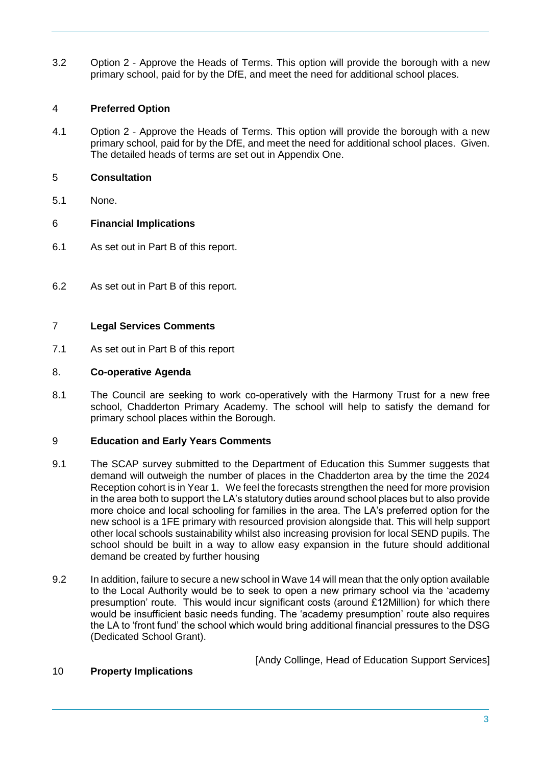3.2 Option 2 - Approve the Heads of Terms. This option will provide the borough with a new primary school, paid for by the DfE, and meet the need for additional school places.

# 4 **Preferred Option**

4.1 Option 2 - Approve the Heads of Terms. This option will provide the borough with a new primary school, paid for by the DfE, and meet the need for additional school places. Given. The detailed heads of terms are set out in Appendix One.

### 5 **Consultation**

5.1 None.

# 6 **Financial Implications**

- 6.1 As set out in Part B of this report.
- 6.2 As set out in Part B of this report.

### 7 **Legal Services Comments**

7.1 As set out in Part B of this report

### 8. **Co-operative Agenda**

8.1 The Council are seeking to work co-operatively with the Harmony Trust for a new free school, Chadderton Primary Academy. The school will help to satisfy the demand for primary school places within the Borough.

### 9 **Education and Early Years Comments**

- 9.1 The SCAP survey submitted to the Department of Education this Summer suggests that demand will outweigh the number of places in the Chadderton area by the time the 2024 Reception cohort is in Year 1. We feel the forecasts strengthen the need for more provision in the area both to support the LA's statutory duties around school places but to also provide more choice and local schooling for families in the area. The LA's preferred option for the new school is a 1FE primary with resourced provision alongside that. This will help support other local schools sustainability whilst also increasing provision for local SEND pupils. The school should be built in a way to allow easy expansion in the future should additional demand be created by further housing
- 9.2 In addition, failure to secure a new school in Wave 14 will mean that the only option available to the Local Authority would be to seek to open a new primary school via the 'academy presumption' route. This would incur significant costs (around £12Million) for which there would be insufficient basic needs funding. The 'academy presumption' route also requires the LA to 'front fund' the school which would bring additional financial pressures to the DSG (Dedicated School Grant).

[Andy Collinge, Head of Education Support Services]

#### 10 **Property Implications**